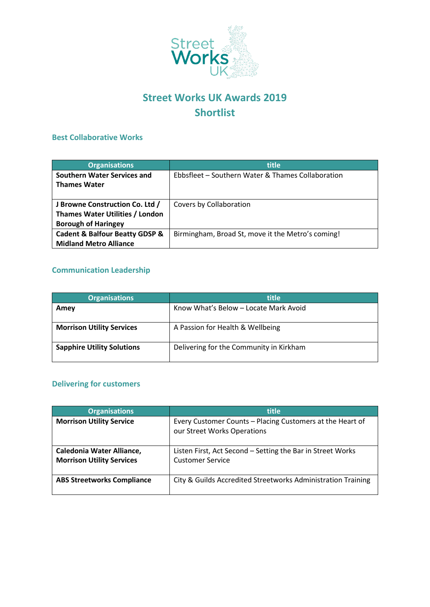

# **Street Works UK Awards 2019 Shortlist**

#### **Best Collaborative Works**

| <b>Organisations</b>                                                                                    | title                                             |
|---------------------------------------------------------------------------------------------------------|---------------------------------------------------|
| Southern Water Services and<br><b>Thames Water</b>                                                      | Ebbsfleet – Southern Water & Thames Collaboration |
| J Browne Construction Co. Ltd /<br><b>Thames Water Utilities / London</b><br><b>Borough of Haringey</b> | Covers by Collaboration                           |
| <b>Cadent &amp; Balfour Beatty GDSP &amp;</b><br><b>Midland Metro Alliance</b>                          | Birmingham, Broad St, move it the Metro's coming! |

## **Communication Leadership**

| <b>Organisations</b>              | <b>title</b>                            |
|-----------------------------------|-----------------------------------------|
| Amey                              | Know What's Below - Locate Mark Avoid   |
| <b>Morrison Utility Services</b>  | A Passion for Health & Wellbeing        |
| <b>Sapphire Utility Solutions</b> | Delivering for the Community in Kirkham |

# **Delivering for customers**

| <b>Organisations</b>                                                 | title                                                                                    |
|----------------------------------------------------------------------|------------------------------------------------------------------------------------------|
| <b>Morrison Utility Service</b>                                      | Every Customer Counts - Placing Customers at the Heart of<br>our Street Works Operations |
| <b>Caledonia Water Alliance,</b><br><b>Morrison Utility Services</b> | Listen First, Act Second - Setting the Bar in Street Works<br><b>Customer Service</b>    |
| <b>ABS Streetworks Compliance</b>                                    | City & Guilds Accredited Streetworks Administration Training                             |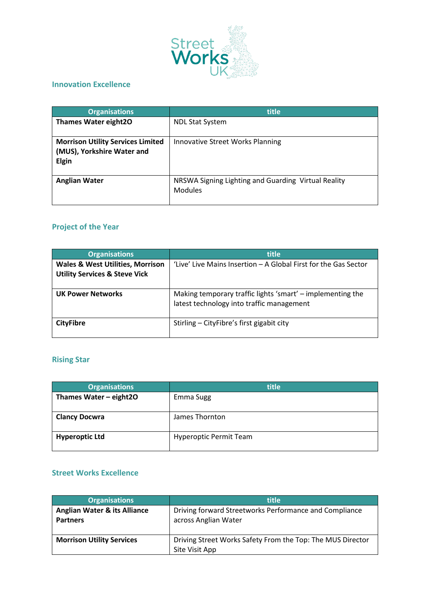

### **Innovation Excellence**

| <b>Organisations</b>                     | title                                               |
|------------------------------------------|-----------------------------------------------------|
| <b>Thames Water eight20</b>              | <b>NDL Stat System</b>                              |
|                                          |                                                     |
| <b>Morrison Utility Services Limited</b> | Innovative Street Works Planning                    |
| (MUS), Yorkshire Water and               |                                                     |
|                                          |                                                     |
| <b>Elgin</b>                             |                                                     |
|                                          |                                                     |
| <b>Anglian Water</b>                     | NRSWA Signing Lighting and Guarding Virtual Reality |
|                                          | <b>Modules</b>                                      |
|                                          |                                                     |
|                                          |                                                     |

# **Project of the Year**

| <b>Organisations</b>                                                                    | title                                                                                                   |
|-----------------------------------------------------------------------------------------|---------------------------------------------------------------------------------------------------------|
| <b>Wales &amp; West Utilities, Morrison</b><br><b>Utility Services &amp; Steve Vick</b> | 'Live' Live Mains Insertion – A Global First for the Gas Sector                                         |
| <b>UK Power Networks</b>                                                                | Making temporary traffic lights 'smart' – implementing the<br>latest technology into traffic management |
| <b>CityFibre</b>                                                                        | Stirling - CityFibre's first gigabit city                                                               |

#### **Rising Star**

| <b>Organisations</b>     | title                         |
|--------------------------|-------------------------------|
| Thames Water $-$ eight20 | Emma Sugg                     |
| <b>Clancy Docwra</b>     | James Thornton                |
| <b>Hyperoptic Ltd</b>    | <b>Hyperoptic Permit Team</b> |

### **Street Works Excellence**

| <b>Organisations</b>                                       | title                                                                          |
|------------------------------------------------------------|--------------------------------------------------------------------------------|
| <b>Anglian Water &amp; its Alliance</b><br><b>Partners</b> | Driving forward Streetworks Performance and Compliance<br>across Anglian Water |
| <b>Morrison Utility Services</b>                           | Driving Street Works Safety From the Top: The MUS Director<br>Site Visit App   |